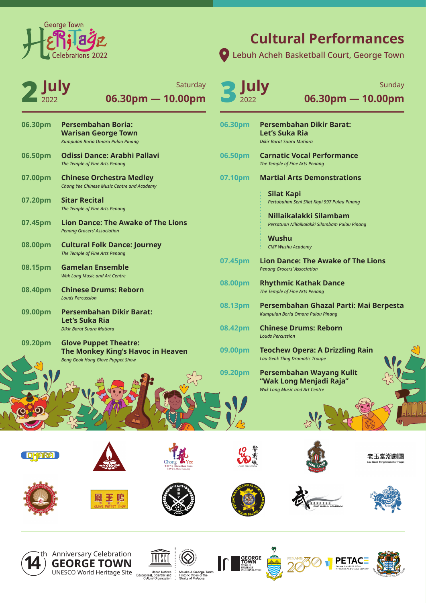2022

- **06.30pm Persembahan Boria: Warisan George Town** *Kumpulan Boria Omara Pulau Pinang* **06.50pm Odissi Dance: Arabhi Pallavi** *The Temple of Fine Arts Penang* **07.00pm Chinese Orchestra Medley** *Chong Yee Chinese Music Centre and Academy*
- **07.20pm Sitar Recital** *The Temple of Fine Arts Penang*
- **07.45pm Lion Dance: The Awake of The Lions** *Penang Grocers' Association*
- **08.00pm Cultural Folk Dance: Journey** *The Temple of Fine Arts Penang*
- **08.15pm Gamelan Ensemble** *Wak Long Music and Art Centre*
- **08.40pm Chinese Drums: Reborn** *Louds Percussion*
- **09.00pm Persembahan Dikir Barat: Let's Suka Ria** *Dikir Barat Suara Mutiara*
- **09.20pm Glove Puppet Theatre: The Monkey King's Havoc in Heaven** *Beng Geok Hong Glove Puppet Show*

Lebuh Acheh Basketball Court, George Town

2**July July** Saturday **3 July**<br>2022 **305.30pm - 10.00pm 06.30pm — 10.00pm Saturday** 

| 06.30pm | <b>Persembahan Dikir Barat:</b><br>Let's Suka Ria<br>Dikir Barat Suara Mutiara              |
|---------|---------------------------------------------------------------------------------------------|
| 06.50pm | <b>Carnatic Vocal Performance</b><br>The Temple of Fine Arts Penang                         |
| 07.10pm | <b>Martial Arts Demonstrations</b>                                                          |
|         | Silat Kapi<br>Pertubuhan Seni Silat Kapi 997 Pulau Pinang                                   |
|         | Nillaikalakki Silambam<br>Persatuan Nillaikalakki Silambam Pulau Pinang                     |
|         | <b>Wushu</b><br><b>CMF Wushu Academy</b>                                                    |
| 07.45pm | <b>Lion Dance: The Awake of The Lions</b><br><b>Penang Grocers' Association</b>             |
| 08.00pm | <b>Rhythmic Kathak Dance</b><br>The Temple of Fine Arts Penang                              |
| 08.13pm | Persembahan Ghazal Parti: Mai Berpesta<br>Kumpulan Boria Omara Pulau Pinang                 |
| 08.42pm | <b>Chinese Drums: Reborn</b><br><b>Louds Percussion</b>                                     |
| 09.00pm | <b>Teochew Opera: A Drizzling Rain</b><br><b>Lau Geok Thng Dramatic Troupe</b>              |
| 09.20pm | Persembahan Wayang Kulit<br>"Wak Long Menjadi Raja"<br><b>Wak Long Music and Art Centre</b> |













 $\mathcal{L}^O$ 



















# **Cultural Performances**

**06.30pm — 10.00pm** Sunday